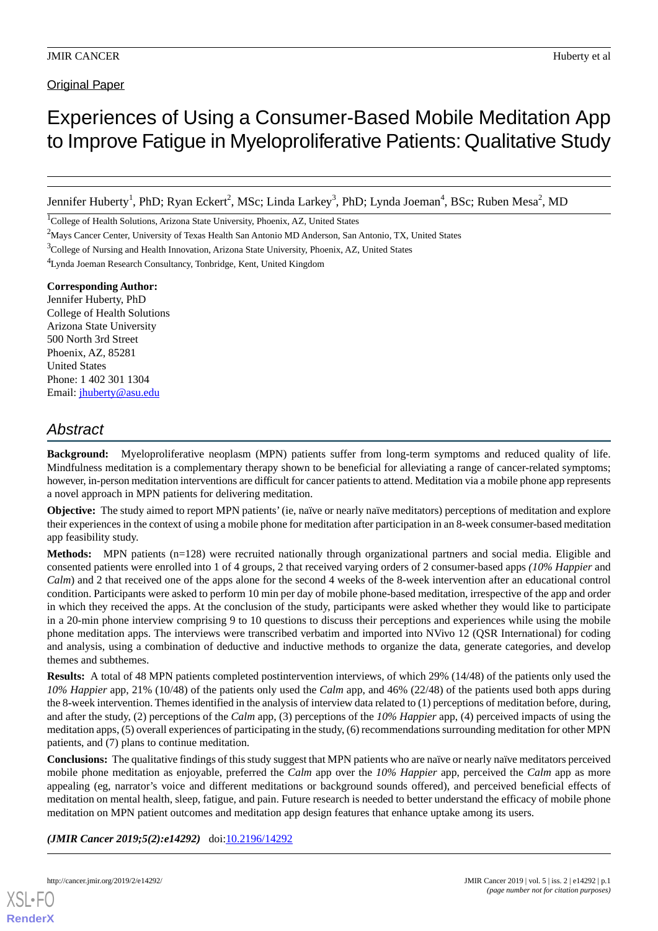**Original Paper** 

# Experiences of Using a Consumer-Based Mobile Meditation App to Improve Fatigue in Myeloproliferative Patients: Qualitative Study

Jennifer Huberty<sup>1</sup>, PhD; Ryan Eckert<sup>2</sup>, MSc; Linda Larkey<sup>3</sup>, PhD; Lynda Joeman<sup>4</sup>, BSc; Ruben Mesa<sup>2</sup>, MD

<sup>1</sup>College of Health Solutions, Arizona State University, Phoenix, AZ, United States

<sup>3</sup>College of Nursing and Health Innovation, Arizona State University, Phoenix, AZ, United States

<sup>4</sup>Lynda Joeman Research Consultancy, Tonbridge, Kent, United Kingdom

**Corresponding Author:** Jennifer Huberty, PhD College of Health Solutions Arizona State University 500 North 3rd Street Phoenix, AZ, 85281 United States Phone: 1 402 301 1304 Email: [jhuberty@asu.edu](mailto:jhuberty@asu.edu)

# *Abstract*

**Background:** Myeloproliferative neoplasm (MPN) patients suffer from long-term symptoms and reduced quality of life. Mindfulness meditation is a complementary therapy shown to be beneficial for alleviating a range of cancer-related symptoms; however, in-person meditation interventions are difficult for cancer patients to attend. Meditation via a mobile phone app represents a novel approach in MPN patients for delivering meditation.

**Objective:** The study aimed to report MPN patients' (ie, naïve or nearly naïve meditators) perceptions of meditation and explore their experiences in the context of using a mobile phone for meditation after participation in an 8-week consumer-based meditation app feasibility study.

**Methods:** MPN patients (n=128) were recruited nationally through organizational partners and social media. Eligible and consented patients were enrolled into 1 of 4 groups, 2 that received varying orders of 2 consumer-based apps *(10% Happier* and *Calm*) and 2 that received one of the apps alone for the second 4 weeks of the 8-week intervention after an educational control condition. Participants were asked to perform 10 min per day of mobile phone-based meditation, irrespective of the app and order in which they received the apps. At the conclusion of the study, participants were asked whether they would like to participate in a 20-min phone interview comprising 9 to 10 questions to discuss their perceptions and experiences while using the mobile phone meditation apps. The interviews were transcribed verbatim and imported into NVivo 12 (QSR International) for coding and analysis, using a combination of deductive and inductive methods to organize the data, generate categories, and develop themes and subthemes.

**Results:** A total of 48 MPN patients completed postintervention interviews, of which 29% (14/48) of the patients only used the *10% Happier* app, 21% (10/48) of the patients only used the *Calm* app, and 46% (22/48) of the patients used both apps during the 8-week intervention. Themes identified in the analysis of interview data related to (1) perceptions of meditation before, during, and after the study, (2) perceptions of the *Calm* app, (3) perceptions of the *10% Happier* app, (4) perceived impacts of using the meditation apps, (5) overall experiences of participating in the study, (6) recommendations surrounding meditation for other MPN patients, and (7) plans to continue meditation.

**Conclusions:** The qualitative findings of this study suggest that MPN patients who are naïve or nearly naïve meditators perceived mobile phone meditation as enjoyable, preferred the *Calm* app over the *10% Happier* app, perceived the *Calm* app as more appealing (eg, narrator's voice and different meditations or background sounds offered), and perceived beneficial effects of meditation on mental health, sleep, fatigue, and pain. Future research is needed to better understand the efficacy of mobile phone meditation on MPN patient outcomes and meditation app design features that enhance uptake among its users.

(JMIR Cancer 2019;5(2):e14292) doi[:10.2196/14292](http://dx.doi.org/10.2196/14292)



<sup>2</sup>Mays Cancer Center, University of Texas Health San Antonio MD Anderson, San Antonio, TX, United States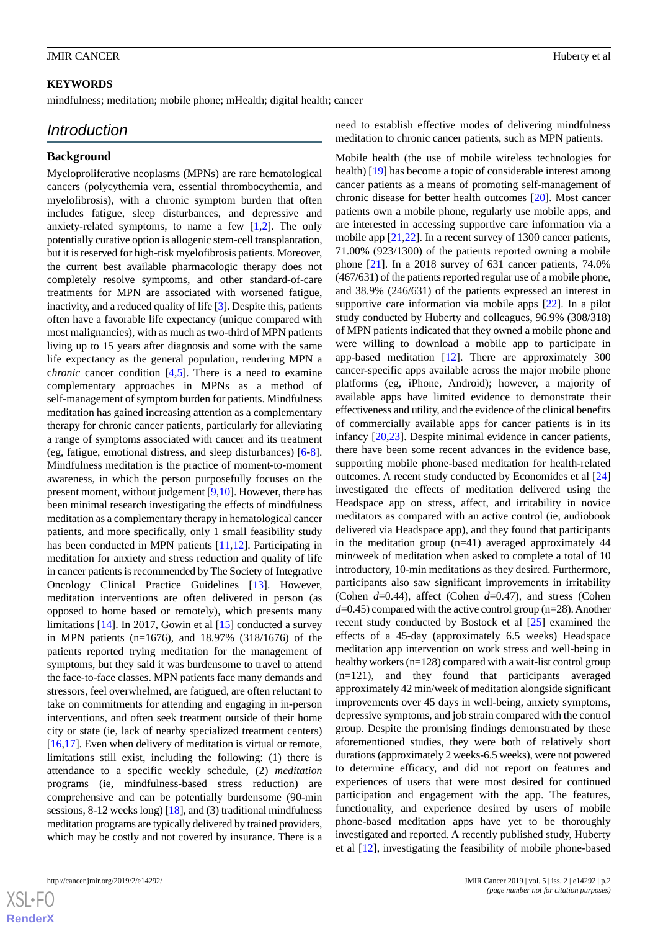## **KEYWORDS**

mindfulness; meditation; mobile phone; mHealth; digital health; cancer

# *Introduction*

### **Background**

Myeloproliferative neoplasms (MPNs) are rare hematological cancers (polycythemia vera, essential thrombocythemia, and myelofibrosis), with a chronic symptom burden that often includes fatigue, sleep disturbances, and depressive and anxiety-related symptoms, to name a few  $[1,2]$  $[1,2]$  $[1,2]$  $[1,2]$ . The only potentially curative option is allogenic stem-cell transplantation, but it is reserved for high-risk myelofibrosis patients. Moreover, the current best available pharmacologic therapy does not completely resolve symptoms, and other standard-of-care treatments for MPN are associated with worsened fatigue, inactivity, and a reduced quality of life [\[3](#page-11-2)]. Despite this, patients often have a favorable life expectancy (unique compared with most malignancies), with as much as two-third of MPN patients living up to 15 years after diagnosis and some with the same life expectancy as the general population, rendering MPN a c*hronic* cancer condition [[4](#page-11-3)[,5](#page-11-4)]. There is a need to examine complementary approaches in MPNs as a method of self-management of symptom burden for patients. Mindfulness meditation has gained increasing attention as a complementary therapy for chronic cancer patients, particularly for alleviating a range of symptoms associated with cancer and its treatment (eg, fatigue, emotional distress, and sleep disturbances) [\[6-](#page-11-5)[8\]](#page-11-6). Mindfulness meditation is the practice of moment-to-moment awareness, in which the person purposefully focuses on the present moment, without judgement [[9](#page-11-7)[,10](#page-11-8)]. However, there has been minimal research investigating the effects of mindfulness meditation as a complementary therapy in hematological cancer patients, and more specifically, only 1 small feasibility study has been conducted in MPN patients [\[11](#page-11-9),[12\]](#page-11-10). Participating in meditation for anxiety and stress reduction and quality of life in cancer patients is recommended by The Society of Integrative Oncology Clinical Practice Guidelines [[13\]](#page-11-11). However, meditation interventions are often delivered in person (as opposed to home based or remotely), which presents many limitations [\[14](#page-12-0)]. In 2017, Gowin et al [\[15](#page-12-1)] conducted a survey in MPN patients (n=1676), and 18.97% (318/1676) of the patients reported trying meditation for the management of symptoms, but they said it was burdensome to travel to attend the face-to-face classes. MPN patients face many demands and stressors, feel overwhelmed, are fatigued, are often reluctant to take on commitments for attending and engaging in in-person interventions, and often seek treatment outside of their home city or state (ie, lack of nearby specialized treatment centers) [[16](#page-12-2)[,17](#page-12-3)]. Even when delivery of meditation is virtual or remote, limitations still exist, including the following: (1) there is attendance to a specific weekly schedule, (2) *meditation* programs (ie, mindfulness-based stress reduction) are comprehensive and can be potentially burdensome (90-min sessions, 8-12 weeks long) [[18\]](#page-12-4), and (3) traditional mindfulness meditation programs are typically delivered by trained providers, which may be costly and not covered by insurance. There is a

need to establish effective modes of delivering mindfulness meditation to chronic cancer patients, such as MPN patients.

Mobile health (the use of mobile wireless technologies for health) [[19\]](#page-12-5) has become a topic of considerable interest among cancer patients as a means of promoting self-management of chronic disease for better health outcomes [[20\]](#page-12-6). Most cancer patients own a mobile phone, regularly use mobile apps, and are interested in accessing supportive care information via a mobile app  $[21,22]$  $[21,22]$  $[21,22]$  $[21,22]$ . In a recent survey of 1300 cancer patients, 71.00% (923/1300) of the patients reported owning a mobile phone [\[21](#page-12-7)]. In a 2018 survey of 631 cancer patients, 74.0% (467/631) of the patients reported regular use of a mobile phone, and 38.9% (246/631) of the patients expressed an interest in supportive care information via mobile apps [\[22](#page-12-8)]. In a pilot study conducted by Huberty and colleagues, 96.9% (308/318) of MPN patients indicated that they owned a mobile phone and were willing to download a mobile app to participate in app-based meditation [\[12](#page-11-10)]. There are approximately 300 cancer-specific apps available across the major mobile phone platforms (eg, iPhone, Android); however, a majority of available apps have limited evidence to demonstrate their effectiveness and utility, and the evidence of the clinical benefits of commercially available apps for cancer patients is in its infancy [[20,](#page-12-6)[23](#page-12-9)]. Despite minimal evidence in cancer patients, there have been some recent advances in the evidence base, supporting mobile phone-based meditation for health-related outcomes. A recent study conducted by Economides et al [\[24](#page-12-10)] investigated the effects of meditation delivered using the Headspace app on stress, affect, and irritability in novice meditators as compared with an active control (ie, audiobook delivered via Headspace app), and they found that participants in the meditation group (n=41) averaged approximately 44 min/week of meditation when asked to complete a total of 10 introductory, 10-min meditations as they desired. Furthermore, participants also saw significant improvements in irritability (Cohen *d*=0.44), affect (Cohen *d*=0.47), and stress (Cohen *d*=0.45) compared with the active control group (n=28). Another recent study conducted by Bostock et al [\[25](#page-12-11)] examined the effects of a 45-day (approximately 6.5 weeks) Headspace meditation app intervention on work stress and well-being in healthy workers (n=128) compared with a wait-list control group (n=121), and they found that participants averaged approximately 42 min/week of meditation alongside significant improvements over 45 days in well-being, anxiety symptoms, depressive symptoms, and job strain compared with the control group. Despite the promising findings demonstrated by these aforementioned studies, they were both of relatively short durations (approximately 2 weeks-6.5 weeks), were not powered to determine efficacy, and did not report on features and experiences of users that were most desired for continued participation and engagement with the app. The features, functionality, and experience desired by users of mobile phone-based meditation apps have yet to be thoroughly investigated and reported. A recently published study, Huberty et al [[12\]](#page-11-10), investigating the feasibility of mobile phone-based

 $XS$  $\cdot$ FC **[RenderX](http://www.renderx.com/)**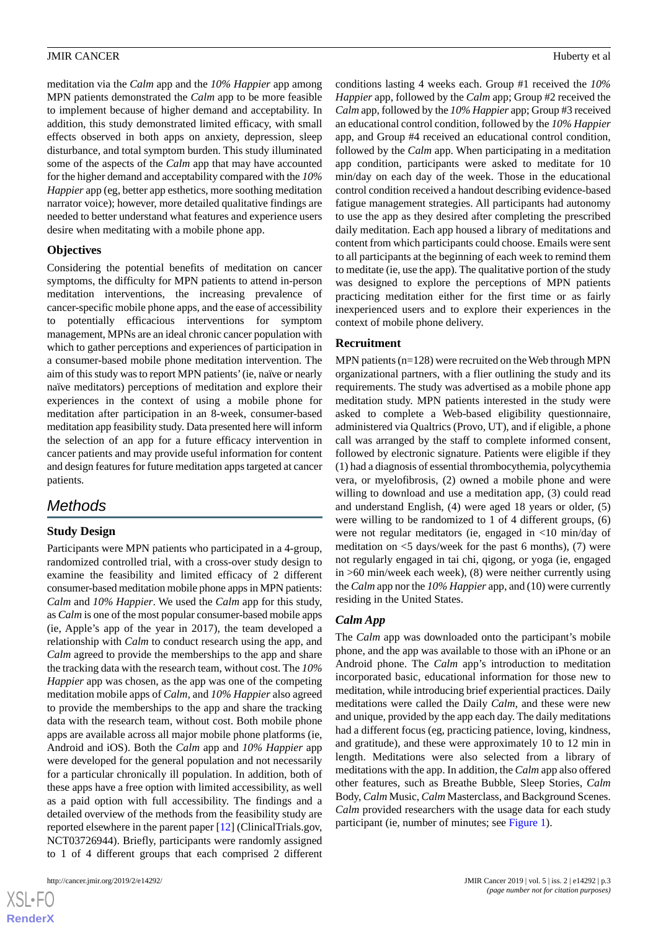meditation via the *Calm* app and the *10% Happier* app among MPN patients demonstrated the *Calm* app to be more feasible to implement because of higher demand and acceptability. In addition, this study demonstrated limited efficacy, with small effects observed in both apps on anxiety, depression, sleep disturbance, and total symptom burden. This study illuminated some of the aspects of the *Calm* app that may have accounted for the higher demand and acceptability compared with the *10% Happier* app (eg, better app esthetics, more soothing meditation narrator voice); however, more detailed qualitative findings are needed to better understand what features and experience users desire when meditating with a mobile phone app.

#### **Objectives**

Considering the potential benefits of meditation on cancer symptoms, the difficulty for MPN patients to attend in-person meditation interventions, the increasing prevalence of cancer-specific mobile phone apps, and the ease of accessibility to potentially efficacious interventions for symptom management, MPNs are an ideal chronic cancer population with which to gather perceptions and experiences of participation in a consumer-based mobile phone meditation intervention. The aim of this study was to report MPN patients' (ie, naïve or nearly naïve meditators) perceptions of meditation and explore their experiences in the context of using a mobile phone for meditation after participation in an 8-week, consumer-based meditation app feasibility study. Data presented here will inform the selection of an app for a future efficacy intervention in cancer patients and may provide useful information for content and design features for future meditation apps targeted at cancer patients.

# *Methods*

# **Study Design**

Participants were MPN patients who participated in a 4-group, randomized controlled trial, with a cross-over study design to examine the feasibility and limited efficacy of 2 different consumer-based meditation mobile phone apps in MPN patients: *Calm* and *10% Happier*. We used the *Calm* app for this study, as *Calm* is one of the most popular consumer-based mobile apps (ie, Apple's app of the year in 2017), the team developed a relationship with *Calm* to conduct research using the app, and *Calm* agreed to provide the memberships to the app and share the tracking data with the research team, without cost. The *10% Happier* app was chosen, as the app was one of the competing meditation mobile apps of *Calm,* and *10% Happier* also agreed to provide the memberships to the app and share the tracking data with the research team, without cost. Both mobile phone apps are available across all major mobile phone platforms (ie, Android and iOS). Both the *Calm* app and *10% Happier* app were developed for the general population and not necessarily for a particular chronically ill population. In addition, both of these apps have a free option with limited accessibility, as well as a paid option with full accessibility. The findings and a detailed overview of the methods from the feasibility study are reported elsewhere in the parent paper [[12\]](#page-11-10) (ClinicalTrials.gov, NCT03726944). Briefly, participants were randomly assigned to 1 of 4 different groups that each comprised 2 different

conditions lasting 4 weeks each. Group #1 received the *10% Happier* app, followed by the *Calm* app; Group #2 received the *Calm* app, followed by the *10% Happier* app; Group #3 received an educational control condition, followed by the *10% Happier* app, and Group #4 received an educational control condition, followed by the *Calm* app. When participating in a meditation app condition, participants were asked to meditate for 10 min/day on each day of the week. Those in the educational control condition received a handout describing evidence-based fatigue management strategies. All participants had autonomy to use the app as they desired after completing the prescribed daily meditation. Each app housed a library of meditations and content from which participants could choose. Emails were sent to all participants at the beginning of each week to remind them to meditate (ie, use the app). The qualitative portion of the study was designed to explore the perceptions of MPN patients practicing meditation either for the first time or as fairly inexperienced users and to explore their experiences in the context of mobile phone delivery.

## **Recruitment**

MPN patients (n=128) were recruited on the Web through MPN organizational partners, with a flier outlining the study and its requirements. The study was advertised as a mobile phone app meditation study. MPN patients interested in the study were asked to complete a Web-based eligibility questionnaire, administered via Qualtrics (Provo, UT), and if eligible, a phone call was arranged by the staff to complete informed consent, followed by electronic signature. Patients were eligible if they (1) had a diagnosis of essential thrombocythemia, polycythemia vera, or myelofibrosis, (2) owned a mobile phone and were willing to download and use a meditation app. (3) could read and understand English, (4) were aged 18 years or older, (5) were willing to be randomized to 1 of 4 different groups, (6) were not regular meditators (ie, engaged in <10 min/day of meditation on  $\leq$  5 days/week for the past 6 months), (7) were not regularly engaged in tai chi, qigong, or yoga (ie, engaged in >60 min/week each week), (8) were neither currently using the *Calm* app nor the *10% Happier* app, and (10) were currently residing in the United States.

# *Calm App*

The *Calm* app was downloaded onto the participant's mobile phone, and the app was available to those with an iPhone or an Android phone. The *Calm* app's introduction to meditation incorporated basic, educational information for those new to meditation, while introducing brief experiential practices. Daily meditations were called the Daily *Calm,* and these were new and unique, provided by the app each day. The daily meditations had a different focus (eg, practicing patience, loving, kindness, and gratitude), and these were approximately 10 to 12 min in length. Meditations were also selected from a library of meditations with the app. In addition, the *Calm* app also offered other features, such as Breathe Bubble, Sleep Stories, *Calm* Body, *Calm* Music, *Calm* Masterclass, and Background Scenes. *Calm* provided researchers with the usage data for each study participant (ie, number of minutes; see [Figure 1](#page-3-0)).

 $XS$  $\cdot$ FC **[RenderX](http://www.renderx.com/)**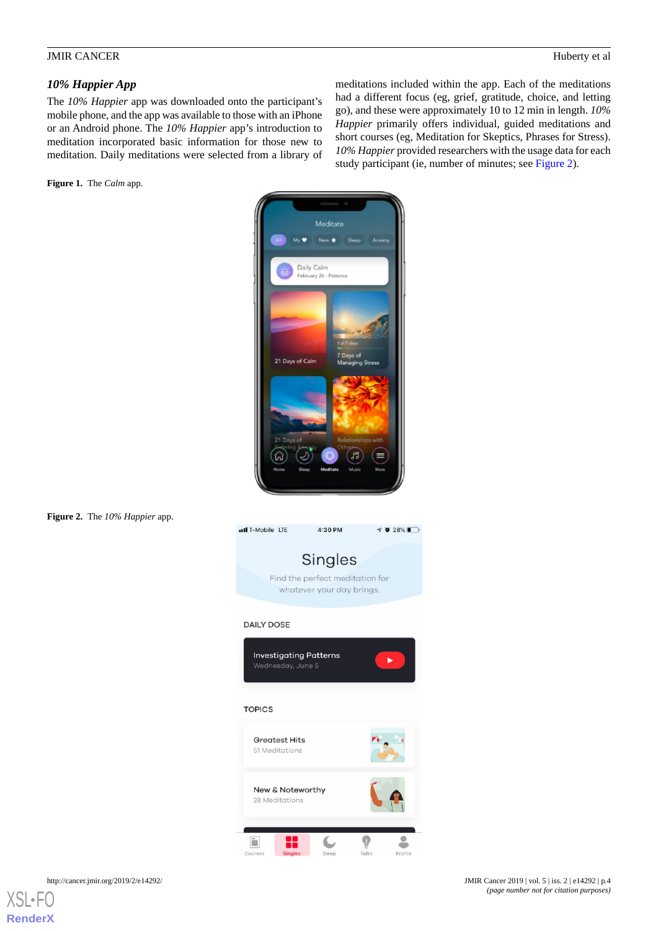# *10% Happier App*

The *10% Happier* app was downloaded onto the participant's mobile phone, and the app was available to those with an iPhone or an Android phone. The *10% Happier* app's introduction to meditation incorporated basic information for those new to meditation. Daily meditations were selected from a library of

<span id="page-3-0"></span>**Figure 1.** The *Calm* app.

meditations included within the app. Each of the meditations had a different focus (eg, grief, gratitude, choice, and letting go), and these were approximately 10 to 12 min in length. *10% Happier* primarily offers individual, guided meditations and short courses (eg, Meditation for Skeptics, Phrases for Stress). *10% Happier* provided researchers with the usage data for each study participant (ie, number of minutes; see [Figure 2](#page-3-1)).



#### <span id="page-3-1"></span>**Figure 2.** The *10% Happier* app.

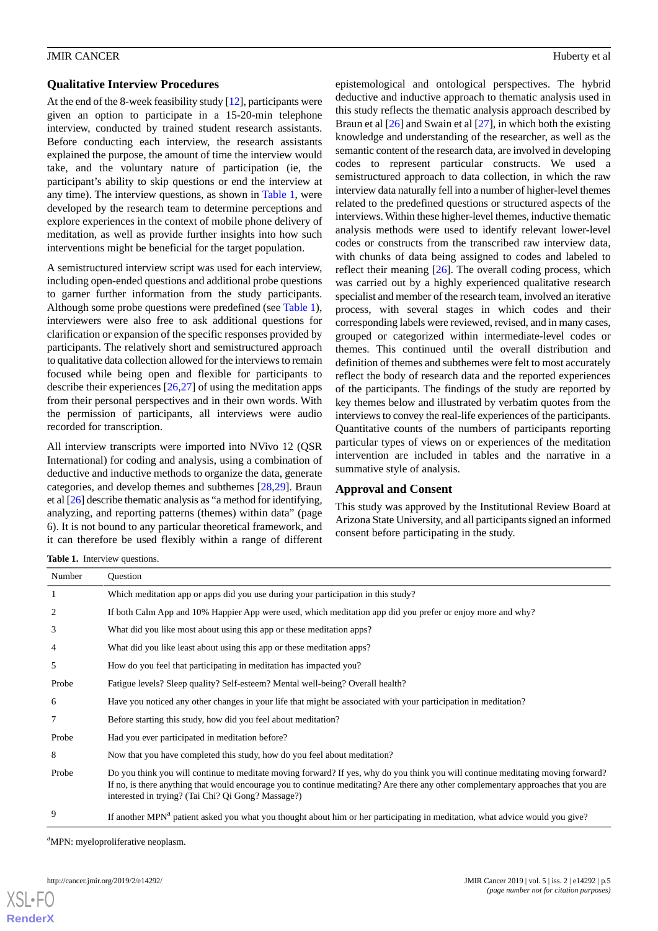#### **Qualitative Interview Procedures**

At the end of the 8-week feasibility study [\[12](#page-11-10)], participants were given an option to participate in a 15-20-min telephone interview, conducted by trained student research assistants. Before conducting each interview, the research assistants explained the purpose, the amount of time the interview would take, and the voluntary nature of participation (ie, the participant's ability to skip questions or end the interview at any time). The interview questions, as shown in [Table 1,](#page-4-0) were developed by the research team to determine perceptions and explore experiences in the context of mobile phone delivery of meditation, as well as provide further insights into how such interventions might be beneficial for the target population.

A semistructured interview script was used for each interview, including open-ended questions and additional probe questions to garner further information from the study participants. Although some probe questions were predefined (see [Table 1\)](#page-4-0), interviewers were also free to ask additional questions for clarification or expansion of the specific responses provided by participants. The relatively short and semistructured approach to qualitative data collection allowed for the interviews to remain focused while being open and flexible for participants to describe their experiences [\[26](#page-12-12),[27\]](#page-12-13) of using the meditation apps from their personal perspectives and in their own words. With the permission of participants, all interviews were audio recorded for transcription.

All interview transcripts were imported into NVivo 12 (QSR International) for coding and analysis, using a combination of deductive and inductive methods to organize the data, generate categories, and develop themes and subthemes [\[28](#page-12-14),[29\]](#page-12-15). Braun et al [[26](#page-12-12)] describe thematic analysis as "a method for identifying, analyzing, and reporting patterns (themes) within data" (page 6). It is not bound to any particular theoretical framework, and it can therefore be used flexibly within a range of different

epistemological and ontological perspectives. The hybrid deductive and inductive approach to thematic analysis used in this study reflects the thematic analysis approach described by Braun et al [\[26](#page-12-12)] and Swain et al [[27\]](#page-12-13), in which both the existing knowledge and understanding of the researcher, as well as the semantic content of the research data, are involved in developing codes to represent particular constructs. We used a semistructured approach to data collection, in which the raw interview data naturally fell into a number of higher-level themes related to the predefined questions or structured aspects of the interviews. Within these higher-level themes, inductive thematic analysis methods were used to identify relevant lower-level codes or constructs from the transcribed raw interview data, with chunks of data being assigned to codes and labeled to reflect their meaning [\[26](#page-12-12)]. The overall coding process, which was carried out by a highly experienced qualitative research specialist and member of the research team, involved an iterative process, with several stages in which codes and their corresponding labels were reviewed, revised, and in many cases, grouped or categorized within intermediate-level codes or themes. This continued until the overall distribution and definition of themes and subthemes were felt to most accurately reflect the body of research data and the reported experiences of the participants. The findings of the study are reported by key themes below and illustrated by verbatim quotes from the interviews to convey the real-life experiences of the participants. Quantitative counts of the numbers of participants reporting particular types of views on or experiences of the meditation intervention are included in tables and the narrative in a summative style of analysis.

#### **Approval and Consent**

This study was approved by the Institutional Review Board at Arizona State University, and all participants signed an informed consent before participating in the study.

<span id="page-4-0"></span>**Table 1.** Interview questions.

| Number         | <b>Ouestion</b>                                                                                                                                                                                                                                                                                                               |
|----------------|-------------------------------------------------------------------------------------------------------------------------------------------------------------------------------------------------------------------------------------------------------------------------------------------------------------------------------|
| 1              | Which meditation app or apps did you use during your participation in this study?                                                                                                                                                                                                                                             |
| 2              | If both Calm App and 10% Happier App were used, which meditation app did you prefer or enjoy more and why?                                                                                                                                                                                                                    |
| 3              | What did you like most about using this app or these meditation apps?                                                                                                                                                                                                                                                         |
| $\overline{4}$ | What did you like least about using this app or these meditation apps?                                                                                                                                                                                                                                                        |
| 5              | How do you feel that participating in meditation has impacted you?                                                                                                                                                                                                                                                            |
| Probe          | Fatigue levels? Sleep quality? Self-esteem? Mental well-being? Overall health?                                                                                                                                                                                                                                                |
| 6              | Have you noticed any other changes in your life that might be associated with your participation in meditation?                                                                                                                                                                                                               |
| 7              | Before starting this study, how did you feel about meditation?                                                                                                                                                                                                                                                                |
| Probe          | Had you ever participated in meditation before?                                                                                                                                                                                                                                                                               |
| 8              | Now that you have completed this study, how do you feel about meditation?                                                                                                                                                                                                                                                     |
| Probe          | Do you think you will continue to meditate moving forward? If yes, why do you think you will continue meditating moving forward?<br>If no, is there anything that would encourage you to continue meditating? Are there any other complementary approaches that you are<br>interested in trying? (Tai Chi? Qi Gong? Massage?) |
| 9              | If another MPN <sup>a</sup> patient asked you what you thought about him or her participating in meditation, what advice would you give?                                                                                                                                                                                      |

<sup>a</sup>MPN: myeloproliferative neoplasm.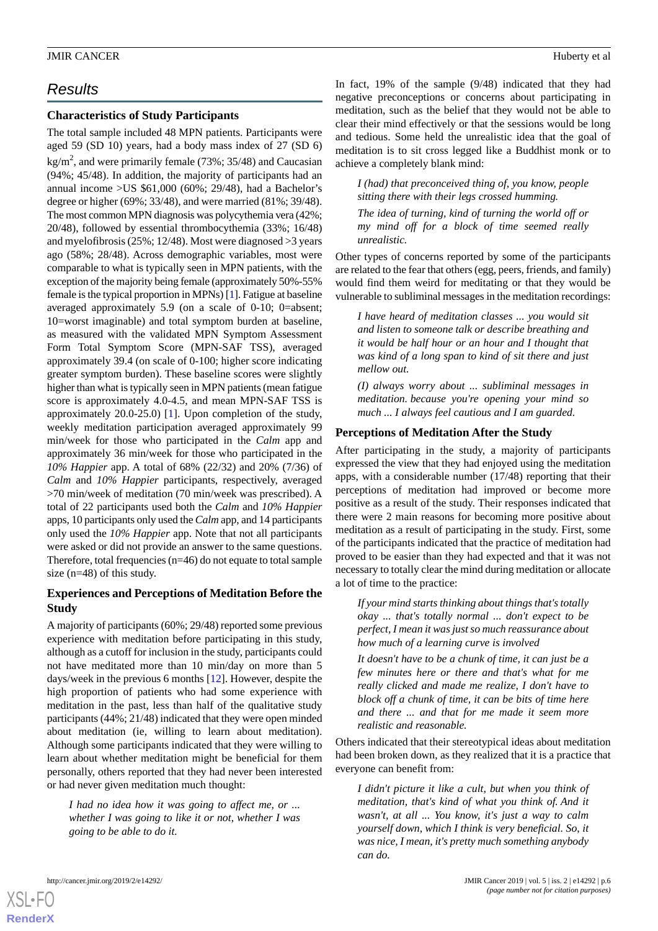# *Results*

# **Characteristics of Study Participants**

The total sample included 48 MPN patients. Participants were aged 59 (SD 10) years, had a body mass index of 27 (SD 6) kg/m<sup>2</sup>, and were primarily female (73%; 35/48) and Caucasian (94%; 45/48). In addition, the majority of participants had an annual income  $>$ US \$61,000 (60%; 29/48), had a Bachelor's degree or higher (69%; 33/48), and were married (81%; 39/48). The most common MPN diagnosis was polycythemia vera (42%; 20/48), followed by essential thrombocythemia (33%; 16/48) and myelofibrosis (25%; 12/48). Most were diagnosed >3 years ago (58%; 28/48). Across demographic variables, most were comparable to what is typically seen in MPN patients, with the exception of the majority being female (approximately 50%-55% female is the typical proportion in MPNs) [\[1](#page-11-0)]. Fatigue at baseline averaged approximately 5.9 (on a scale of 0-10; 0=absent; 10=worst imaginable) and total symptom burden at baseline, as measured with the validated MPN Symptom Assessment Form Total Symptom Score (MPN-SAF TSS), averaged approximately 39.4 (on scale of 0-100; higher score indicating greater symptom burden). These baseline scores were slightly higher than what is typically seen in MPN patients (mean fatigue score is approximately 4.0-4.5, and mean MPN-SAF TSS is approximately 20.0-25.0) [\[1](#page-11-0)]. Upon completion of the study, weekly meditation participation averaged approximately 99 min/week for those who participated in the *Calm* app and approximately 36 min/week for those who participated in the *10% Happier* app. A total of 68% (22/32) and 20% (7/36) of *Calm* and *10% Happier* participants, respectively, averaged >70 min/week of meditation (70 min/week was prescribed). A total of 22 participants used both the *Calm* and *10% Happier* apps, 10 participants only used the *Calm* app, and 14 participants only used the *10% Happier* app. Note that not all participants were asked or did not provide an answer to the same questions. Therefore, total frequencies (n=46) do not equate to total sample size (n=48) of this study.

# **Experiences and Perceptions of Meditation Before the Study**

A majority of participants (60%; 29/48) reported some previous experience with meditation before participating in this study, although as a cutoff for inclusion in the study, participants could not have meditated more than 10 min/day on more than 5 days/week in the previous 6 months [\[12](#page-11-10)]. However, despite the high proportion of patients who had some experience with meditation in the past, less than half of the qualitative study participants (44%; 21/48) indicated that they were open minded about meditation (ie, willing to learn about meditation). Although some participants indicated that they were willing to learn about whether meditation might be beneficial for them personally, others reported that they had never been interested or had never given meditation much thought:

*I had no idea how it was going to affect me, or ... whether I was going to like it or not, whether I was going to be able to do it.*

In fact, 19% of the sample (9/48) indicated that they had negative preconceptions or concerns about participating in meditation, such as the belief that they would not be able to clear their mind effectively or that the sessions would be long and tedious. Some held the unrealistic idea that the goal of meditation is to sit cross legged like a Buddhist monk or to achieve a completely blank mind:

*I (had) that preconceived thing of, you know, people sitting there with their legs crossed humming.*

*The idea of turning, kind of turning the world off or my mind off for a block of time seemed really unrealistic.*

Other types of concerns reported by some of the participants are related to the fear that others (egg, peers, friends, and family) would find them weird for meditating or that they would be vulnerable to subliminal messages in the meditation recordings:

*I have heard of meditation classes ... you would sit and listen to someone talk or describe breathing and it would be half hour or an hour and I thought that was kind of a long span to kind of sit there and just mellow out.*

*(I) always worry about ... subliminal messages in meditation. because you're opening your mind so much ... I always feel cautious and I am guarded.*

# **Perceptions of Meditation After the Study**

After participating in the study, a majority of participants expressed the view that they had enjoyed using the meditation apps, with a considerable number (17/48) reporting that their perceptions of meditation had improved or become more positive as a result of the study. Their responses indicated that there were 2 main reasons for becoming more positive about meditation as a result of participating in the study. First, some of the participants indicated that the practice of meditation had proved to be easier than they had expected and that it was not necessary to totally clear the mind during meditation or allocate a lot of time to the practice:

*If your mind starts thinking about things that's totally okay ... that's totally normal ... don't expect to be perfect, I mean it was just so much reassurance about how much of a learning curve is involved*

*It doesn't have to be a chunk of time, it can just be a few minutes here or there and that's what for me really clicked and made me realize, I don't have to block off a chunk of time, it can be bits of time here and there ... and that for me made it seem more realistic and reasonable.*

Others indicated that their stereotypical ideas about meditation had been broken down, as they realized that it is a practice that everyone can benefit from:

*I didn't picture it like a cult, but when you think of meditation, that's kind of what you think of. And it wasn't, at all ... You know, it's just a way to calm yourself down, which I think is very beneficial. So, it was nice, I mean, it's pretty much something anybody can do.*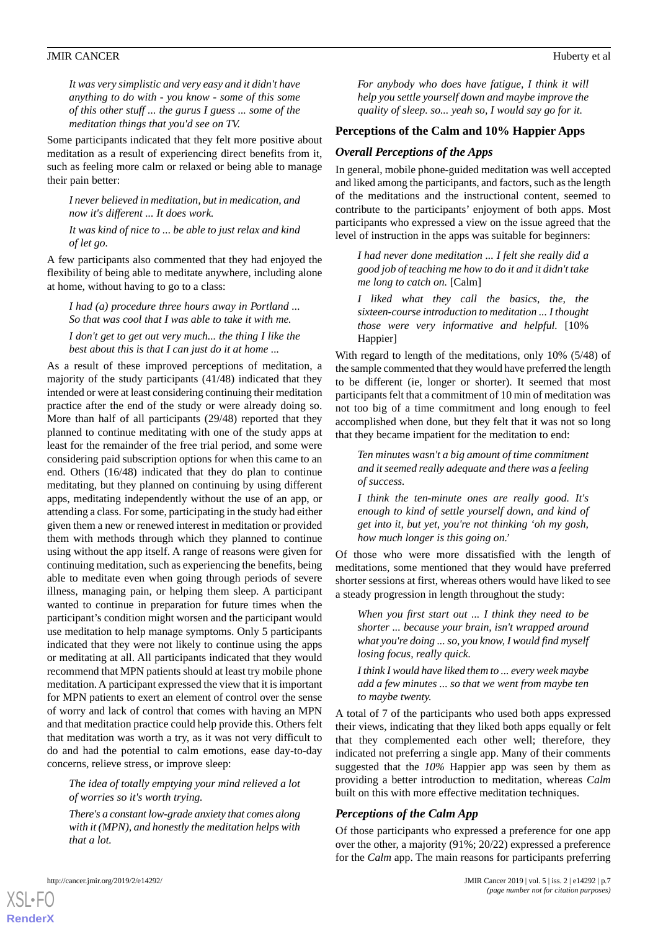*It was very simplistic and very easy and it didn't have anything to do with - you know - some of this some of this other stuff ... the gurus I guess ... some of the meditation things that you'd see on TV.*

Some participants indicated that they felt more positive about meditation as a result of experiencing direct benefits from it, such as feeling more calm or relaxed or being able to manage their pain better:

*I never believed in meditation, but in medication, and now it's different ... It does work.*

*It was kind of nice to ... be able to just relax and kind of let go.*

A few participants also commented that they had enjoyed the flexibility of being able to meditate anywhere, including alone at home, without having to go to a class:

*I had (a) procedure three hours away in Portland ... So that was cool that I was able to take it with me. I don't get to get out very much... the thing I like the best about this is that I can just do it at home ...*

As a result of these improved perceptions of meditation, a majority of the study participants (41/48) indicated that they intended or were at least considering continuing their meditation practice after the end of the study or were already doing so. More than half of all participants (29/48) reported that they planned to continue meditating with one of the study apps at least for the remainder of the free trial period, and some were considering paid subscription options for when this came to an end. Others (16/48) indicated that they do plan to continue meditating, but they planned on continuing by using different apps, meditating independently without the use of an app, or attending a class. For some, participating in the study had either given them a new or renewed interest in meditation or provided them with methods through which they planned to continue using without the app itself. A range of reasons were given for continuing meditation, such as experiencing the benefits, being able to meditate even when going through periods of severe illness, managing pain, or helping them sleep. A participant wanted to continue in preparation for future times when the participant's condition might worsen and the participant would use meditation to help manage symptoms. Only 5 participants indicated that they were not likely to continue using the apps or meditating at all. All participants indicated that they would recommend that MPN patients should at least try mobile phone meditation. A participant expressed the view that it is important for MPN patients to exert an element of control over the sense of worry and lack of control that comes with having an MPN and that meditation practice could help provide this. Others felt that meditation was worth a try, as it was not very difficult to do and had the potential to calm emotions, ease day-to-day concerns, relieve stress, or improve sleep:

*The idea of totally emptying your mind relieved a lot of worries so it's worth trying.*

*There's a constant low-grade anxiety that comes along with it (MPN), and honestly the meditation helps with that a lot.*

*For anybody who does have fatigue, I think it will help you settle yourself down and maybe improve the quality of sleep. so... yeah so, I would say go for it.*

#### **Perceptions of the Calm and 10% Happier Apps**

#### *Overall Perceptions of the Apps*

In general, mobile phone-guided meditation was well accepted and liked among the participants, and factors, such as the length of the meditations and the instructional content, seemed to contribute to the participants' enjoyment of both apps. Most participants who expressed a view on the issue agreed that the level of instruction in the apps was suitable for beginners:

*I had never done meditation ... I felt she really did a good job of teaching me how to do it and it didn't take me long to catch on.* [Calm]

*I liked what they call the basics, the, the sixteen-course introduction to meditation ... I thought those were very informative and helpful.* [10% Happier]

With regard to length of the meditations, only 10% (5/48) of the sample commented that they would have preferred the length to be different (ie, longer or shorter). It seemed that most participants felt that a commitment of 10 min of meditation was not too big of a time commitment and long enough to feel accomplished when done, but they felt that it was not so long that they became impatient for the meditation to end:

*Ten minutes wasn't a big amount of time commitment and it seemed really adequate and there was a feeling of success.*

*I think the ten-minute ones are really good. It's enough to kind of settle yourself down, and kind of get into it, but yet, you're not thinking 'oh my gosh, how much longer is this going on.'*

Of those who were more dissatisfied with the length of meditations, some mentioned that they would have preferred shorter sessions at first, whereas others would have liked to see a steady progression in length throughout the study:

*When you first start out ... I think they need to be shorter ... because your brain, isn't wrapped around what you're doing ... so, you know, I would find myself losing focus, really quick.*

*I think I would have liked them to ... every week maybe add a few minutes ... so that we went from maybe ten to maybe twenty.*

A total of 7 of the participants who used both apps expressed their views, indicating that they liked both apps equally or felt that they complemented each other well; therefore, they indicated not preferring a single app. Many of their comments suggested that the *10%* Happier app was seen by them as providing a better introduction to meditation, whereas *Calm* built on this with more effective meditation techniques.

#### *Perceptions of the Calm App*

Of those participants who expressed a preference for one app over the other, a majority (91%; 20/22) expressed a preference for the *Calm* app. The main reasons for participants preferring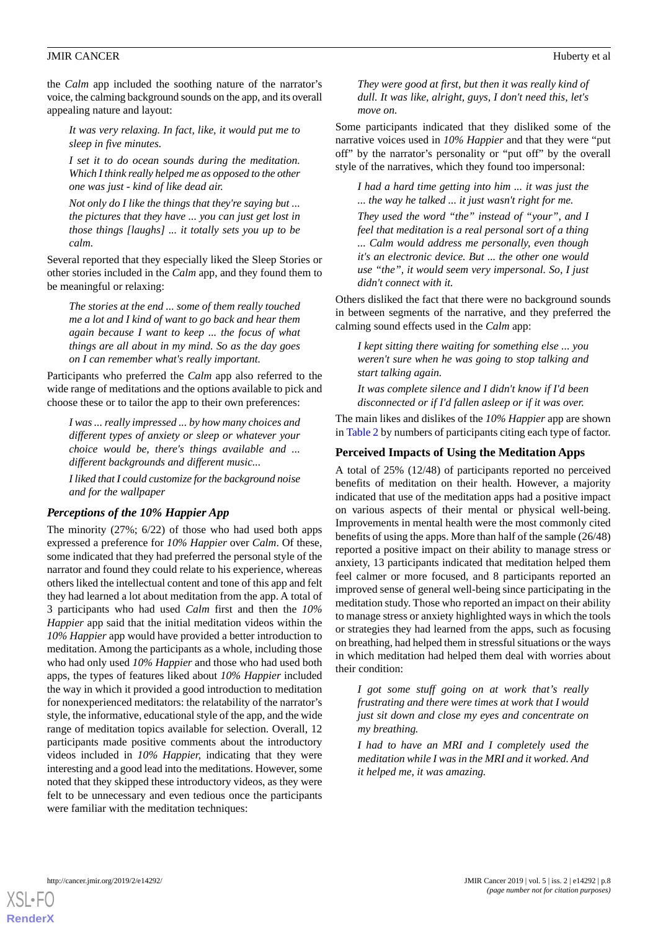the *Calm* app included the soothing nature of the narrator's voice, the calming background sounds on the app, and its overall appealing nature and layout:

*It was very relaxing. In fact, like, it would put me to sleep in five minutes.*

*I set it to do ocean sounds during the meditation. Which I think really helped me as opposed to the other one was just - kind of like dead air.*

*Not only do I like the things that they're saying but ... the pictures that they have ... you can just get lost in those things [laughs] ... it totally sets you up to be calm.*

Several reported that they especially liked the Sleep Stories or other stories included in the *Calm* app, and they found them to be meaningful or relaxing:

*The stories at the end ... some of them really touched me a lot and I kind of want to go back and hear them again because I want to keep ... the focus of what things are all about in my mind. So as the day goes on I can remember what's really important.*

Participants who preferred the *Calm* app also referred to the wide range of meditations and the options available to pick and choose these or to tailor the app to their own preferences:

*I was ... really impressed ... by how many choices and different types of anxiety or sleep or whatever your choice would be, there's things available and ... different backgrounds and different music...*

*I liked that I could customize for the background noise and for the wallpaper*

## *Perceptions of the 10% Happier App*

The minority (27%; 6/22) of those who had used both apps expressed a preference for *10% Happier* over *Calm*. Of these, some indicated that they had preferred the personal style of the narrator and found they could relate to his experience, whereas others liked the intellectual content and tone of this app and felt they had learned a lot about meditation from the app. A total of 3 participants who had used *Calm* first and then the *10% Happier* app said that the initial meditation videos within the *10% Happier* app would have provided a better introduction to meditation. Among the participants as a whole, including those who had only used *10% Happier* and those who had used both apps, the types of features liked about *10% Happier* included the way in which it provided a good introduction to meditation for nonexperienced meditators: the relatability of the narrator's style, the informative, educational style of the app, and the wide range of meditation topics available for selection. Overall, 12 participants made positive comments about the introductory videos included in *10% Happier,* indicating that they were interesting and a good lead into the meditations. However, some noted that they skipped these introductory videos, as they were felt to be unnecessary and even tedious once the participants were familiar with the meditation techniques:

*They were good at first, but then it was really kind of dull. It was like, alright, guys, I don't need this, let's move on.*

Some participants indicated that they disliked some of the narrative voices used in *10% Happier* and that they were "put off" by the narrator's personality or "put off" by the overall style of the narratives, which they found too impersonal:

*I had a hard time getting into him ... it was just the ... the way he talked ... it just wasn't right for me. They used the word "the" instead of "your", and I feel that meditation is a real personal sort of a thing ... Calm would address me personally, even though it's an electronic device. But ... the other one would use "the", it would seem very impersonal. So, I just didn't connect with it.*

Others disliked the fact that there were no background sounds in between segments of the narrative, and they preferred the calming sound effects used in the *Calm* app:

*I kept sitting there waiting for something else ... you weren't sure when he was going to stop talking and start talking again.*

*It was complete silence and I didn't know if I'd been disconnected or if I'd fallen asleep or if it was over.*

The main likes and dislikes of the *10% Happier* app are shown in [Table 2](#page-8-0) by numbers of participants citing each type of factor.

#### **Perceived Impacts of Using the Meditation Apps**

A total of 25% (12/48) of participants reported no perceived benefits of meditation on their health. However, a majority indicated that use of the meditation apps had a positive impact on various aspects of their mental or physical well-being. Improvements in mental health were the most commonly cited benefits of using the apps. More than half of the sample (26/48) reported a positive impact on their ability to manage stress or anxiety, 13 participants indicated that meditation helped them feel calmer or more focused, and 8 participants reported an improved sense of general well-being since participating in the meditation study. Those who reported an impact on their ability to manage stress or anxiety highlighted ways in which the tools or strategies they had learned from the apps, such as focusing on breathing, had helped them in stressful situations or the ways in which meditation had helped them deal with worries about their condition:

*I got some stuff going on at work that's really frustrating and there were times at work that I would just sit down and close my eyes and concentrate on my breathing.*

*I had to have an MRI and I completely used the meditation while I was in the MRI and it worked. And it helped me, it was amazing.*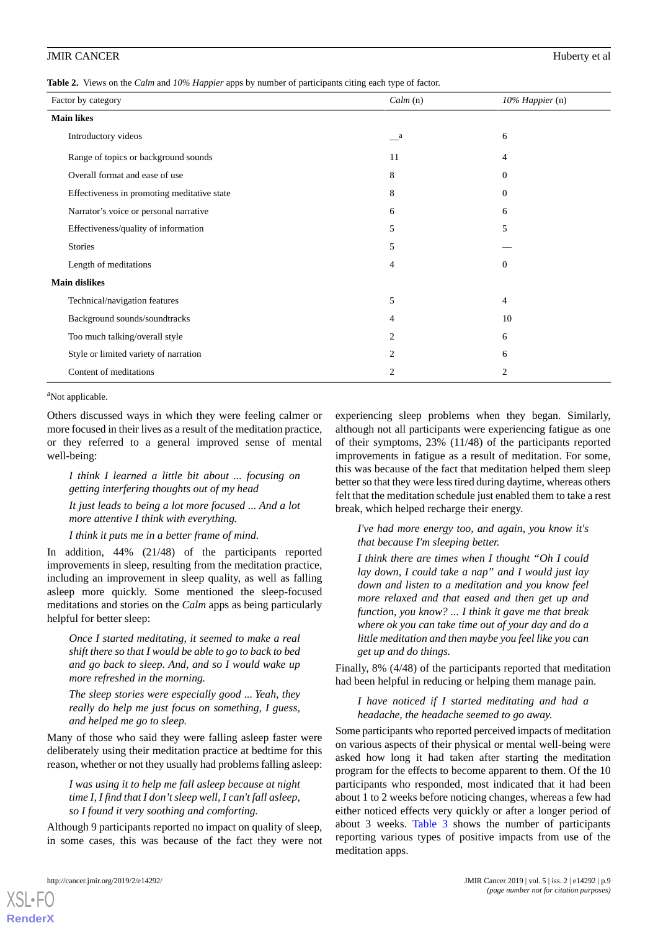<span id="page-8-0"></span>**Table 2.** Views on the *Calm* and *10% Happier* apps by number of participants citing each type of factor.

| Calm(n)        | 10% Happier (n) |
|----------------|-----------------|
|                |                 |
| $\mathbf{a}$   | 6               |
| 11             | 4               |
| 8              | $\theta$        |
| 8              | $\overline{0}$  |
| 6              | 6               |
| 5              | 5               |
| 5              |                 |
| 4              | $\overline{0}$  |
|                |                 |
| 5              | 4               |
| 4              | 10              |
| $\overline{c}$ | 6               |
| $\overline{2}$ | 6               |
| 2              | $\overline{2}$  |
|                |                 |

<sup>a</sup>Not applicable.

Others discussed ways in which they were feeling calmer or more focused in their lives as a result of the meditation practice, or they referred to a general improved sense of mental well-being:

*I think I learned a little bit about ... focusing on getting interfering thoughts out of my head It just leads to being a lot more focused ... And a lot more attentive I think with everything.*

*I think it puts me in a better frame of mind.*

In addition, 44% (21/48) of the participants reported improvements in sleep, resulting from the meditation practice, including an improvement in sleep quality, as well as falling asleep more quickly. Some mentioned the sleep-focused meditations and stories on the *Calm* apps as being particularly helpful for better sleep:

*Once I started meditating, it seemed to make a real shift there so that I would be able to go to back to bed and go back to sleep. And, and so I would wake up more refreshed in the morning.*

*The sleep stories were especially good ... Yeah, they really do help me just focus on something, I guess, and helped me go to sleep.*

Many of those who said they were falling asleep faster were deliberately using their meditation practice at bedtime for this reason, whether or not they usually had problems falling asleep:

*I was using it to help me fall asleep because at night time I, I find that I don't sleep well, I can't fall asleep, so I found it very soothing and comforting.*

Although 9 participants reported no impact on quality of sleep, in some cases, this was because of the fact they were not

experiencing sleep problems when they began. Similarly, although not all participants were experiencing fatigue as one of their symptoms, 23% (11/48) of the participants reported improvements in fatigue as a result of meditation. For some, this was because of the fact that meditation helped them sleep better so that they were less tired during daytime, whereas others felt that the meditation schedule just enabled them to take a rest break, which helped recharge their energy.

*I've had more energy too, and again, you know it's that because I'm sleeping better.*

*I think there are times when I thought "Oh I could lay down, I could take a nap" and I would just lay down and listen to a meditation and you know feel more relaxed and that eased and then get up and function, you know? ... I think it gave me that break where ok you can take time out of your day and do a little meditation and then maybe you feel like you can get up and do things.*

Finally, 8% (4/48) of the participants reported that meditation had been helpful in reducing or helping them manage pain.

*I have noticed if I started meditating and had a headache, the headache seemed to go away.*

Some participants who reported perceived impacts of meditation on various aspects of their physical or mental well-being were asked how long it had taken after starting the meditation program for the effects to become apparent to them. Of the 10 participants who responded, most indicated that it had been about 1 to 2 weeks before noticing changes, whereas a few had either noticed effects very quickly or after a longer period of about 3 weeks. [Table 3](#page-9-0) shows the number of participants reporting various types of positive impacts from use of the meditation apps.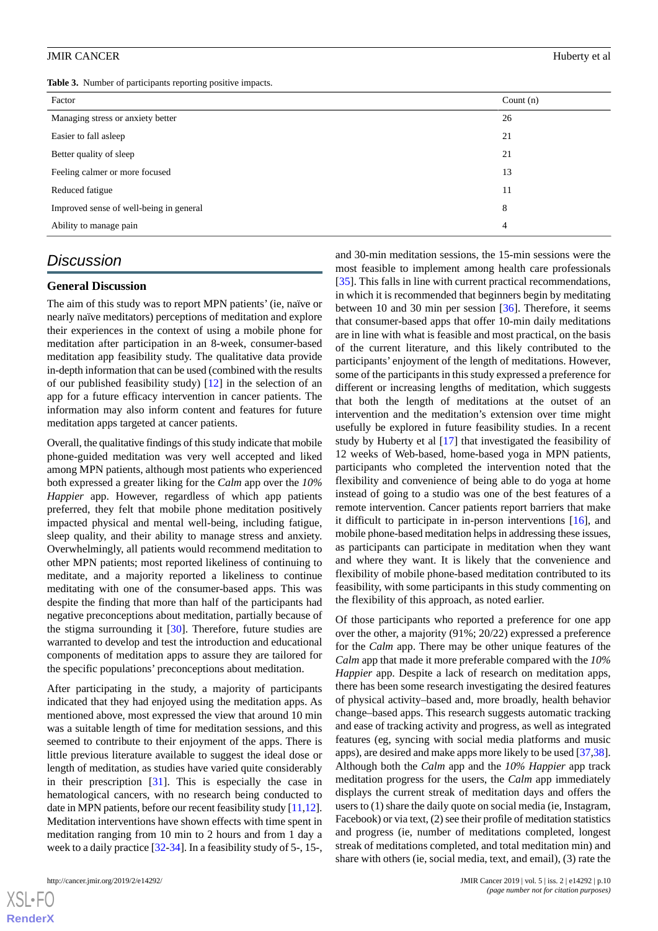<span id="page-9-0"></span>

|  |  |  |  | Table 3. Number of participants reporting positive impacts. |  |  |
|--|--|--|--|-------------------------------------------------------------|--|--|
|--|--|--|--|-------------------------------------------------------------|--|--|

| Factor                                  | Count $(n)$ |
|-----------------------------------------|-------------|
| Managing stress or anxiety better       | 26          |
| Easier to fall asleep                   | 21          |
| Better quality of sleep                 | 21          |
| Feeling calmer or more focused          | 13          |
| Reduced fatigue                         | 11          |
| Improved sense of well-being in general | 8           |
| Ability to manage pain                  | 4           |

# *Discussion*

#### **General Discussion**

The aim of this study was to report MPN patients' (ie, naïve or nearly naïve meditators) perceptions of meditation and explore their experiences in the context of using a mobile phone for meditation after participation in an 8-week, consumer-based meditation app feasibility study. The qualitative data provide in-depth information that can be used (combined with the results of our published feasibility study) [\[12](#page-11-10)] in the selection of an app for a future efficacy intervention in cancer patients. The information may also inform content and features for future meditation apps targeted at cancer patients.

Overall, the qualitative findings of this study indicate that mobile phone-guided meditation was very well accepted and liked among MPN patients, although most patients who experienced both expressed a greater liking for the *Calm* app over the *10% Happier* app. However, regardless of which app patients preferred, they felt that mobile phone meditation positively impacted physical and mental well-being, including fatigue, sleep quality, and their ability to manage stress and anxiety. Overwhelmingly, all patients would recommend meditation to other MPN patients; most reported likeliness of continuing to meditate, and a majority reported a likeliness to continue meditating with one of the consumer-based apps. This was despite the finding that more than half of the participants had negative preconceptions about meditation, partially because of the stigma surrounding it [\[30](#page-12-16)]. Therefore, future studies are warranted to develop and test the introduction and educational components of meditation apps to assure they are tailored for the specific populations' preconceptions about meditation.

After participating in the study, a majority of participants indicated that they had enjoyed using the meditation apps. As mentioned above, most expressed the view that around 10 min was a suitable length of time for meditation sessions, and this seemed to contribute to their enjoyment of the apps. There is little previous literature available to suggest the ideal dose or length of meditation, as studies have varied quite considerably in their prescription [[31\]](#page-12-17). This is especially the case in hematological cancers, with no research being conducted to date in MPN patients, before our recent feasibility study [[11,](#page-11-9)[12\]](#page-11-10). Meditation interventions have shown effects with time spent in meditation ranging from 10 min to 2 hours and from 1 day a week to a daily practice [\[32](#page-12-18)[-34](#page-12-19)]. In a feasibility study of 5-, 15-,

 $X$ SL•F $C$ **[RenderX](http://www.renderx.com/)** and 30-min meditation sessions, the 15-min sessions were the most feasible to implement among health care professionals [[35\]](#page-12-20). This falls in line with current practical recommendations, in which it is recommended that beginners begin by meditating between 10 and 30 min per session [\[36](#page-12-21)]. Therefore, it seems that consumer-based apps that offer 10-min daily meditations are in line with what is feasible and most practical, on the basis of the current literature, and this likely contributed to the participants' enjoyment of the length of meditations. However, some of the participants in this study expressed a preference for different or increasing lengths of meditation, which suggests that both the length of meditations at the outset of an intervention and the meditation's extension over time might usefully be explored in future feasibility studies. In a recent study by Huberty et al [[17\]](#page-12-3) that investigated the feasibility of 12 weeks of Web-based, home-based yoga in MPN patients, participants who completed the intervention noted that the flexibility and convenience of being able to do yoga at home instead of going to a studio was one of the best features of a remote intervention. Cancer patients report barriers that make it difficult to participate in in-person interventions [[16\]](#page-12-2), and mobile phone-based meditation helps in addressing these issues, as participants can participate in meditation when they want and where they want. It is likely that the convenience and flexibility of mobile phone-based meditation contributed to its feasibility, with some participants in this study commenting on the flexibility of this approach, as noted earlier.

Of those participants who reported a preference for one app over the other, a majority (91%; 20/22) expressed a preference for the *Calm* app. There may be other unique features of the *Calm* app that made it more preferable compared with the *10% Happier* app. Despite a lack of research on meditation apps. there has been some research investigating the desired features of physical activity–based and, more broadly, health behavior change–based apps. This research suggests automatic tracking and ease of tracking activity and progress, as well as integrated features (eg, syncing with social media platforms and music apps), are desired and make apps more likely to be used [[37,](#page-13-0)[38\]](#page-13-1). Although both the *Calm* app and the *10% Happier* app track meditation progress for the users, the *Calm* app immediately displays the current streak of meditation days and offers the users to (1) share the daily quote on social media (ie, Instagram, Facebook) or via text, (2) see their profile of meditation statistics and progress (ie, number of meditations completed, longest streak of meditations completed, and total meditation min) and share with others (ie, social media, text, and email), (3) rate the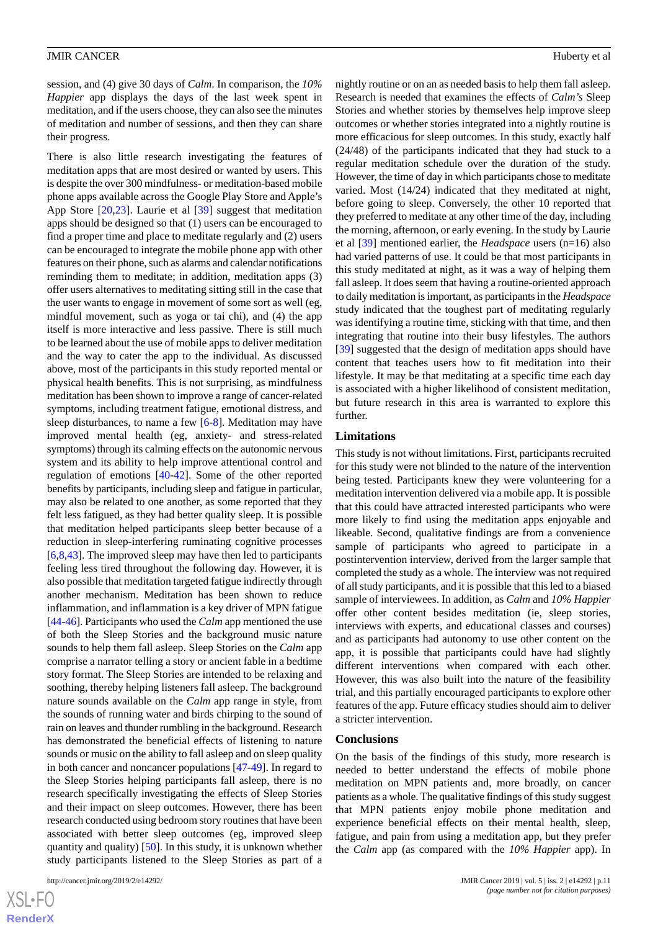session, and (4) give 30 days of *Calm*. In comparison, the *10% Happier* app displays the days of the last week spent in meditation, and if the users choose, they can also see the minutes of meditation and number of sessions, and then they can share their progress.

There is also little research investigating the features of meditation apps that are most desired or wanted by users. This is despite the over 300 mindfulness- or meditation-based mobile phone apps available across the Google Play Store and Apple's App Store [[20](#page-12-6)[,23](#page-12-9)]. Laurie et al [\[39](#page-13-2)] suggest that meditation apps should be designed so that (1) users can be encouraged to find a proper time and place to meditate regularly and (2) users can be encouraged to integrate the mobile phone app with other features on their phone, such as alarms and calendar notifications reminding them to meditate; in addition, meditation apps (3) offer users alternatives to meditating sitting still in the case that the user wants to engage in movement of some sort as well (eg, mindful movement, such as yoga or tai chi), and (4) the app itself is more interactive and less passive. There is still much to be learned about the use of mobile apps to deliver meditation and the way to cater the app to the individual. As discussed above, most of the participants in this study reported mental or physical health benefits. This is not surprising, as mindfulness meditation has been shown to improve a range of cancer-related symptoms, including treatment fatigue, emotional distress, and sleep disturbances, to name a few [\[6](#page-11-5)-[8\]](#page-11-6). Meditation may have improved mental health (eg, anxiety- and stress-related symptoms) through its calming effects on the autonomic nervous system and its ability to help improve attentional control and regulation of emotions [\[40](#page-13-3)[-42](#page-13-4)]. Some of the other reported benefits by participants, including sleep and fatigue in particular, may also be related to one another, as some reported that they felt less fatigued, as they had better quality sleep. It is possible that meditation helped participants sleep better because of a reduction in sleep-interfering ruminating cognitive processes [[6](#page-11-5)[,8](#page-11-6),[43\]](#page-13-5). The improved sleep may have then led to participants feeling less tired throughout the following day. However, it is also possible that meditation targeted fatigue indirectly through another mechanism. Meditation has been shown to reduce inflammation, and inflammation is a key driver of MPN fatigue [[44](#page-13-6)[-46](#page-13-7)]. Participants who used the *Calm* app mentioned the use of both the Sleep Stories and the background music nature sounds to help them fall asleep. Sleep Stories on the *Calm* app comprise a narrator telling a story or ancient fable in a bedtime story format. The Sleep Stories are intended to be relaxing and soothing, thereby helping listeners fall asleep. The background nature sounds available on the *Calm* app range in style, from the sounds of running water and birds chirping to the sound of rain on leaves and thunder rumbling in the background. Research has demonstrated the beneficial effects of listening to nature sounds or music on the ability to fall asleep and on sleep quality in both cancer and noncancer populations [[47](#page-13-8)[-49](#page-13-9)]. In regard to the Sleep Stories helping participants fall asleep, there is no research specifically investigating the effects of Sleep Stories and their impact on sleep outcomes. However, there has been research conducted using bedroom story routines that have been associated with better sleep outcomes (eg, improved sleep quantity and quality) [\[50](#page-13-10)]. In this study, it is unknown whether study participants listened to the Sleep Stories as part of a

nightly routine or on an as needed basis to help them fall asleep. Research is needed that examines the effects of *Calm's* Sleep Stories and whether stories by themselves help improve sleep outcomes or whether stories integrated into a nightly routine is more efficacious for sleep outcomes. In this study, exactly half (24/48) of the participants indicated that they had stuck to a regular meditation schedule over the duration of the study. However, the time of day in which participants chose to meditate varied. Most (14/24) indicated that they meditated at night, before going to sleep. Conversely, the other 10 reported that they preferred to meditate at any other time of the day, including the morning, afternoon, or early evening. In the study by Laurie et al [[39\]](#page-13-2) mentioned earlier, the *Headspace* users (n=16) also had varied patterns of use. It could be that most participants in this study meditated at night, as it was a way of helping them fall asleep. It does seem that having a routine-oriented approach to daily meditation is important, as participants in the *Headspace* study indicated that the toughest part of meditating regularly was identifying a routine time, sticking with that time, and then integrating that routine into their busy lifestyles. The authors [[39\]](#page-13-2) suggested that the design of meditation apps should have content that teaches users how to fit meditation into their lifestyle. It may be that meditating at a specific time each day is associated with a higher likelihood of consistent meditation, but future research in this area is warranted to explore this further.

#### **Limitations**

This study is not without limitations. First, participants recruited for this study were not blinded to the nature of the intervention being tested. Participants knew they were volunteering for a meditation intervention delivered via a mobile app. It is possible that this could have attracted interested participants who were more likely to find using the meditation apps enjoyable and likeable. Second, qualitative findings are from a convenience sample of participants who agreed to participate in a postintervention interview, derived from the larger sample that completed the study as a whole. The interview was not required of all study participants, and it is possible that this led to a biased sample of interviewees. In addition, as *Calm* and *10% Happier* offer other content besides meditation (ie, sleep stories, interviews with experts, and educational classes and courses) and as participants had autonomy to use other content on the app, it is possible that participants could have had slightly different interventions when compared with each other. However, this was also built into the nature of the feasibility trial, and this partially encouraged participants to explore other features of the app. Future efficacy studies should aim to deliver a stricter intervention.

#### **Conclusions**

On the basis of the findings of this study, more research is needed to better understand the effects of mobile phone meditation on MPN patients and, more broadly, on cancer patients as a whole. The qualitative findings of this study suggest that MPN patients enjoy mobile phone meditation and experience beneficial effects on their mental health, sleep, fatigue, and pain from using a meditation app, but they prefer the *Calm* app (as compared with the *10% Happier* app). In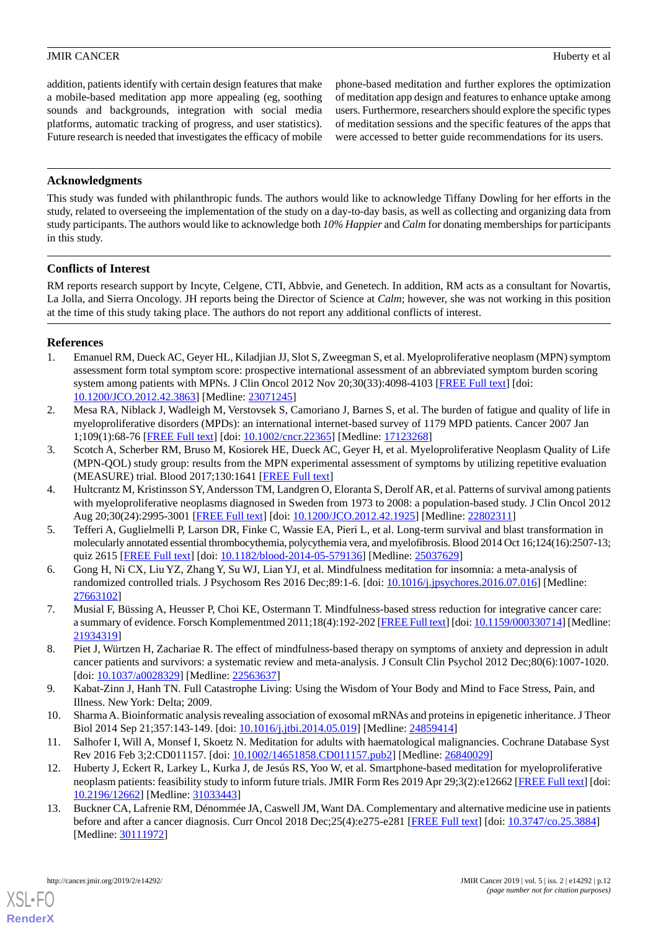addition, patients identify with certain design features that make a mobile-based meditation app more appealing (eg, soothing sounds and backgrounds, integration with social media platforms, automatic tracking of progress, and user statistics). Future research is needed that investigates the efficacy of mobile

phone-based meditation and further explores the optimization of meditation app design and features to enhance uptake among users. Furthermore, researchers should explore the specific types of meditation sessions and the specific features of the apps that were accessed to better guide recommendations for its users.

# **Acknowledgments**

This study was funded with philanthropic funds. The authors would like to acknowledge Tiffany Dowling for her efforts in the study, related to overseeing the implementation of the study on a day-to-day basis, as well as collecting and organizing data from study participants. The authors would like to acknowledge both *10% Happier* and *Calm* for donating memberships for participants in this study.

# **Conflicts of Interest**

RM reports research support by Incyte, Celgene, CTI, Abbvie, and Genetech. In addition, RM acts as a consultant for Novartis, La Jolla, and Sierra Oncology. JH reports being the Director of Science at *Calm*; however, she was not working in this position at the time of this study taking place. The authors do not report any additional conflicts of interest.

# <span id="page-11-0"></span>**References**

- <span id="page-11-1"></span>1. Emanuel RM, Dueck AC, Geyer HL, Kiladjian JJ, Slot S, Zweegman S, et al. Myeloproliferative neoplasm (MPN) symptom assessment form total symptom score: prospective international assessment of an abbreviated symptom burden scoring system among patients with MPNs. J Clin Oncol 2012 Nov 20;30(33):4098-4103 [[FREE Full text\]](http://europepmc.org/abstract/MED/23071245) [doi: [10.1200/JCO.2012.42.3863](http://dx.doi.org/10.1200/JCO.2012.42.3863)] [Medline: [23071245\]](http://www.ncbi.nlm.nih.gov/entrez/query.fcgi?cmd=Retrieve&db=PubMed&list_uids=23071245&dopt=Abstract)
- <span id="page-11-2"></span>2. Mesa RA, Niblack J, Wadleigh M, Verstovsek S, Camoriano J, Barnes S, et al. The burden of fatigue and quality of life in myeloproliferative disorders (MPDs): an international internet-based survey of 1179 MPD patients. Cancer 2007 Jan 1;109(1):68-76 [[FREE Full text](https://doi.org/10.1002/cncr.22365)] [doi: [10.1002/cncr.22365\]](http://dx.doi.org/10.1002/cncr.22365) [Medline: [17123268\]](http://www.ncbi.nlm.nih.gov/entrez/query.fcgi?cmd=Retrieve&db=PubMed&list_uids=17123268&dopt=Abstract)
- <span id="page-11-3"></span>3. Scotch A, Scherber RM, Bruso M, Kosiorek HE, Dueck AC, Geyer H, et al. Myeloproliferative Neoplasm Quality of Life (MPN-QOL) study group: results from the MPN experimental assessment of symptoms by utilizing repetitive evaluation (MEASURE) trial. Blood 2017;130:1641 [[FREE Full text](http://www.bloodjournal.org/content/128/22/5479?sso-checked=true)]
- <span id="page-11-4"></span>4. Hultcrantz M, Kristinsson SY, Andersson TM, Landgren O, Eloranta S, Derolf AR, et al. Patterns of survival among patients with myeloproliferative neoplasms diagnosed in Sweden from 1973 to 2008: a population-based study. J Clin Oncol 2012 Aug 20;30(24):2995-3001 [[FREE Full text](http://europepmc.org/abstract/MED/22802311)] [doi: [10.1200/JCO.2012.42.1925\]](http://dx.doi.org/10.1200/JCO.2012.42.1925) [Medline: [22802311\]](http://www.ncbi.nlm.nih.gov/entrez/query.fcgi?cmd=Retrieve&db=PubMed&list_uids=22802311&dopt=Abstract)
- <span id="page-11-5"></span>5. Tefferi A, Guglielmelli P, Larson DR, Finke C, Wassie EA, Pieri L, et al. Long-term survival and blast transformation in molecularly annotated essential thrombocythemia, polycythemia vera, and myelofibrosis. Blood 2014 Oct 16;124(16):2507-13; quiz 2615 [\[FREE Full text](http://www.bloodjournal.org/cgi/pmidlookup?view=long&pmid=25037629)] [doi: [10.1182/blood-2014-05-579136\]](http://dx.doi.org/10.1182/blood-2014-05-579136) [Medline: [25037629\]](http://www.ncbi.nlm.nih.gov/entrez/query.fcgi?cmd=Retrieve&db=PubMed&list_uids=25037629&dopt=Abstract)
- <span id="page-11-6"></span>6. Gong H, Ni CX, Liu YZ, Zhang Y, Su WJ, Lian YJ, et al. Mindfulness meditation for insomnia: a meta-analysis of randomized controlled trials. J Psychosom Res 2016 Dec;89:1-6. [doi: [10.1016/j.jpsychores.2016.07.016\]](http://dx.doi.org/10.1016/j.jpsychores.2016.07.016) [Medline: [27663102](http://www.ncbi.nlm.nih.gov/entrez/query.fcgi?cmd=Retrieve&db=PubMed&list_uids=27663102&dopt=Abstract)]
- <span id="page-11-7"></span>7. Musial F, Büssing A, Heusser P, Choi KE, Ostermann T. Mindfulness-based stress reduction for integrative cancer care: a summary of evidence. Forsch Komplementmed 2011;18(4):192-202 [[FREE Full text](https://www.karger.com?DOI=10.1159/000330714)] [doi: [10.1159/000330714\]](http://dx.doi.org/10.1159/000330714) [Medline: [21934319](http://www.ncbi.nlm.nih.gov/entrez/query.fcgi?cmd=Retrieve&db=PubMed&list_uids=21934319&dopt=Abstract)]
- <span id="page-11-9"></span><span id="page-11-8"></span>8. Piet J, Würtzen H, Zachariae R. The effect of mindfulness-based therapy on symptoms of anxiety and depression in adult cancer patients and survivors: a systematic review and meta-analysis. J Consult Clin Psychol 2012 Dec;80(6):1007-1020. [doi: [10.1037/a0028329\]](http://dx.doi.org/10.1037/a0028329) [Medline: [22563637](http://www.ncbi.nlm.nih.gov/entrez/query.fcgi?cmd=Retrieve&db=PubMed&list_uids=22563637&dopt=Abstract)]
- <span id="page-11-10"></span>9. Kabat-Zinn J, Hanh TN. Full Catastrophe Living: Using the Wisdom of Your Body and Mind to Face Stress, Pain, and Illness. New York: Delta; 2009.
- <span id="page-11-11"></span>10. Sharma A. Bioinformatic analysis revealing association of exosomal mRNAs and proteins in epigenetic inheritance. J Theor Biol 2014 Sep 21;357:143-149. [doi: [10.1016/j.jtbi.2014.05.019\]](http://dx.doi.org/10.1016/j.jtbi.2014.05.019) [Medline: [24859414\]](http://www.ncbi.nlm.nih.gov/entrez/query.fcgi?cmd=Retrieve&db=PubMed&list_uids=24859414&dopt=Abstract)
- 11. Salhofer I, Will A, Monsef I, Skoetz N. Meditation for adults with haematological malignancies. Cochrane Database Syst Rev 2016 Feb 3;2:CD011157. [doi: [10.1002/14651858.CD011157.pub2\]](http://dx.doi.org/10.1002/14651858.CD011157.pub2) [Medline: [26840029\]](http://www.ncbi.nlm.nih.gov/entrez/query.fcgi?cmd=Retrieve&db=PubMed&list_uids=26840029&dopt=Abstract)
- 12. Huberty J, Eckert R, Larkey L, Kurka J, de Jesús RS, Yoo W, et al. Smartphone-based meditation for myeloproliferative neoplasm patients: feasibility study to inform future trials. JMIR Form Res 2019 Apr 29;3(2):e12662 [\[FREE Full text](http://formative.jmir.org/2019/2/e12662/)] [doi: [10.2196/12662\]](http://dx.doi.org/10.2196/12662) [Medline: [31033443\]](http://www.ncbi.nlm.nih.gov/entrez/query.fcgi?cmd=Retrieve&db=PubMed&list_uids=31033443&dopt=Abstract)
- 13. Buckner CA, Lafrenie RM, Dénommée JA, Caswell JM, Want DA. Complementary and alternative medicine use in patients before and after a cancer diagnosis. Curr Oncol 2018 Dec; 25(4): e275-e281 [\[FREE Full text\]](http://www.current-oncology.com/index.php/oncology/article/view/3884/2777) [doi: [10.3747/co.25.3884\]](http://dx.doi.org/10.3747/co.25.3884) [Medline: [30111972](http://www.ncbi.nlm.nih.gov/entrez/query.fcgi?cmd=Retrieve&db=PubMed&list_uids=30111972&dopt=Abstract)]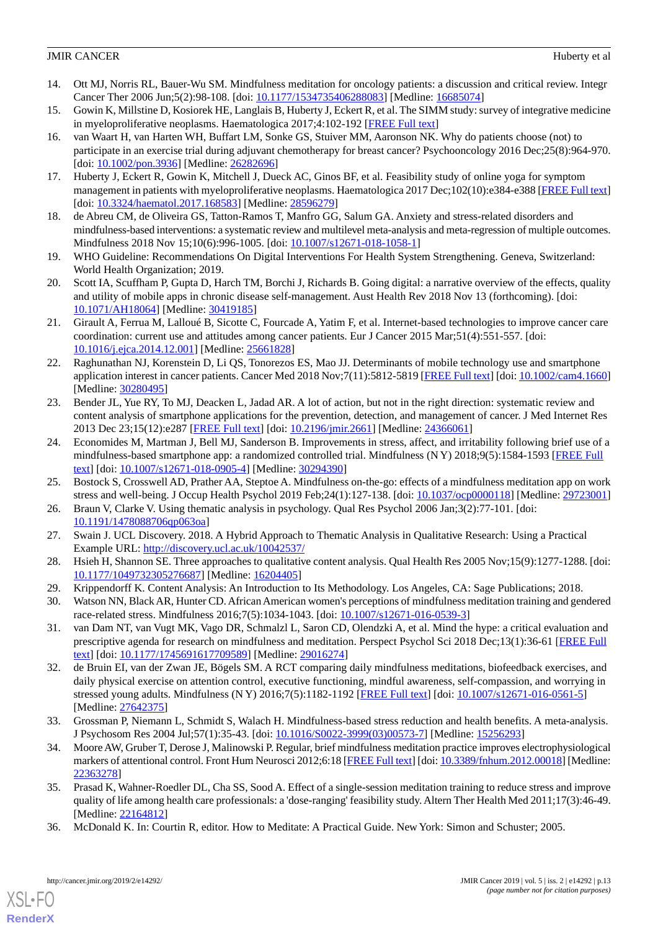- <span id="page-12-0"></span>14. Ott MJ, Norris RL, Bauer-Wu SM. Mindfulness meditation for oncology patients: a discussion and critical review. Integr Cancer Ther 2006 Jun;5(2):98-108. [doi: [10.1177/1534735406288083](http://dx.doi.org/10.1177/1534735406288083)] [Medline: [16685074\]](http://www.ncbi.nlm.nih.gov/entrez/query.fcgi?cmd=Retrieve&db=PubMed&list_uids=16685074&dopt=Abstract)
- <span id="page-12-2"></span><span id="page-12-1"></span>15. Gowin K, Millstine D, Kosiorek HE, Langlais B, Huberty J, Eckert R, et al. The SIMM study: survey of integrative medicine in myeloproliferative neoplasms. Haematologica 2017;4:102-192 [\[FREE Full text\]](https://www.emjreviews.com/hematology/abstract/the-simm-study-survey-of-integrative-medicine-in-myeloproliferative-neoplasms/)
- 16. van Waart H, van Harten WH, Buffart LM, Sonke GS, Stuiver MM, Aaronson NK. Why do patients choose (not) to participate in an exercise trial during adjuvant chemotherapy for breast cancer? Psychooncology 2016 Dec;25(8):964-970. [doi: [10.1002/pon.3936\]](http://dx.doi.org/10.1002/pon.3936) [Medline: [26282696](http://www.ncbi.nlm.nih.gov/entrez/query.fcgi?cmd=Retrieve&db=PubMed&list_uids=26282696&dopt=Abstract)]
- <span id="page-12-4"></span><span id="page-12-3"></span>17. Huberty J, Eckert R, Gowin K, Mitchell J, Dueck AC, Ginos BF, et al. Feasibility study of online yoga for symptom management in patients with myeloproliferative neoplasms. Haematologica 2017 Dec;102(10):e384-e388 [\[FREE Full text](http://www.haematologica.org/cgi/pmidlookup?view=long&pmid=28596279)] [doi: [10.3324/haematol.2017.168583\]](http://dx.doi.org/10.3324/haematol.2017.168583) [Medline: [28596279\]](http://www.ncbi.nlm.nih.gov/entrez/query.fcgi?cmd=Retrieve&db=PubMed&list_uids=28596279&dopt=Abstract)
- <span id="page-12-5"></span>18. de Abreu CM, de Oliveira GS, Tatton-Ramos T, Manfro GG, Salum GA. Anxiety and stress-related disorders and mindfulness-based interventions: a systematic review and multilevel meta-analysis and meta-regression of multiple outcomes. Mindfulness 2018 Nov 15;10(6):996-1005. [doi: [10.1007/s12671-018-1058-1](http://dx.doi.org/10.1007/s12671-018-1058-1)]
- <span id="page-12-6"></span>19. WHO Guideline: Recommendations On Digital Interventions For Health System Strengthening. Geneva, Switzerland: World Health Organization; 2019.
- <span id="page-12-7"></span>20. Scott IA, Scuffham P, Gupta D, Harch TM, Borchi J, Richards B. Going digital: a narrative overview of the effects, quality and utility of mobile apps in chronic disease self-management. Aust Health Rev 2018 Nov 13 (forthcoming). [doi: [10.1071/AH18064](http://dx.doi.org/10.1071/AH18064)] [Medline: [30419185](http://www.ncbi.nlm.nih.gov/entrez/query.fcgi?cmd=Retrieve&db=PubMed&list_uids=30419185&dopt=Abstract)]
- <span id="page-12-8"></span>21. Girault A, Ferrua M, Lalloué B, Sicotte C, Fourcade A, Yatim F, et al. Internet-based technologies to improve cancer care coordination: current use and attitudes among cancer patients. Eur J Cancer 2015 Mar;51(4):551-557. [doi: [10.1016/j.ejca.2014.12.001\]](http://dx.doi.org/10.1016/j.ejca.2014.12.001) [Medline: [25661828\]](http://www.ncbi.nlm.nih.gov/entrez/query.fcgi?cmd=Retrieve&db=PubMed&list_uids=25661828&dopt=Abstract)
- <span id="page-12-9"></span>22. Raghunathan NJ, Korenstein D, Li QS, Tonorezos ES, Mao JJ. Determinants of mobile technology use and smartphone application interest in cancer patients. Cancer Med 2018 Nov;7(11):5812-5819 [\[FREE Full text\]](https://doi.org/10.1002/cam4.1660) [doi: [10.1002/cam4.1660](http://dx.doi.org/10.1002/cam4.1660)] [Medline: [30280495](http://www.ncbi.nlm.nih.gov/entrez/query.fcgi?cmd=Retrieve&db=PubMed&list_uids=30280495&dopt=Abstract)]
- <span id="page-12-10"></span>23. Bender JL, Yue RY, To MJ, Deacken L, Jadad AR. A lot of action, but not in the right direction: systematic review and content analysis of smartphone applications for the prevention, detection, and management of cancer. J Med Internet Res 2013 Dec 23;15(12):e287 [\[FREE Full text\]](http://www.jmir.org/2013/12/e287/) [doi: [10.2196/jmir.2661\]](http://dx.doi.org/10.2196/jmir.2661) [Medline: [24366061](http://www.ncbi.nlm.nih.gov/entrez/query.fcgi?cmd=Retrieve&db=PubMed&list_uids=24366061&dopt=Abstract)]
- <span id="page-12-12"></span><span id="page-12-11"></span>24. Economides M, Martman J, Bell MJ, Sanderson B. Improvements in stress, affect, and irritability following brief use of a mindfulness-based smartphone app: a randomized controlled trial. Mindfulness (N Y) 2018;9(5):1584-1593 [[FREE Full](http://europepmc.org/abstract/MED/30294390) [text](http://europepmc.org/abstract/MED/30294390)] [doi: [10.1007/s12671-018-0905-4\]](http://dx.doi.org/10.1007/s12671-018-0905-4) [Medline: [30294390](http://www.ncbi.nlm.nih.gov/entrez/query.fcgi?cmd=Retrieve&db=PubMed&list_uids=30294390&dopt=Abstract)]
- <span id="page-12-13"></span>25. Bostock S, Crosswell AD, Prather AA, Steptoe A. Mindfulness on-the-go: effects of a mindfulness meditation app on work stress and well-being. J Occup Health Psychol 2019 Feb;24(1):127-138. [doi: [10.1037/ocp0000118\]](http://dx.doi.org/10.1037/ocp0000118) [Medline: [29723001](http://www.ncbi.nlm.nih.gov/entrez/query.fcgi?cmd=Retrieve&db=PubMed&list_uids=29723001&dopt=Abstract)]
- <span id="page-12-14"></span>26. Braun V, Clarke V. Using thematic analysis in psychology. Qual Res Psychol 2006 Jan;3(2):77-101. [doi: [10.1191/1478088706qp063oa](http://dx.doi.org/10.1191/1478088706qp063oa)]
- <span id="page-12-16"></span><span id="page-12-15"></span>27. Swain J. UCL Discovery. 2018. A Hybrid Approach to Thematic Analysis in Qualitative Research: Using a Practical Example URL: <http://discovery.ucl.ac.uk/10042537/>
- <span id="page-12-17"></span>28. Hsieh H, Shannon SE. Three approaches to qualitative content analysis. Qual Health Res 2005 Nov;15(9):1277-1288. [doi: [10.1177/1049732305276687\]](http://dx.doi.org/10.1177/1049732305276687) [Medline: [16204405\]](http://www.ncbi.nlm.nih.gov/entrez/query.fcgi?cmd=Retrieve&db=PubMed&list_uids=16204405&dopt=Abstract)
- 29. Krippendorff K. Content Analysis: An Introduction to Its Methodology. Los Angeles, CA: Sage Publications; 2018.
- <span id="page-12-18"></span>30. Watson NN, Black AR, Hunter CD. African American women's perceptions of mindfulness meditation training and gendered race-related stress. Mindfulness 2016;7(5):1034-1043. [doi: [10.1007/s12671-016-0539-3](http://dx.doi.org/10.1007/s12671-016-0539-3)]
- 31. van Dam NT, van Vugt MK, Vago DR, Schmalzl L, Saron CD, Olendzki A, et al. Mind the hype: a critical evaluation and prescriptive agenda for research on mindfulness and meditation. Perspect Psychol Sci 2018 Dec;13(1):36-61 [\[FREE Full](http://europepmc.org/abstract/MED/29016274) [text](http://europepmc.org/abstract/MED/29016274)] [doi: [10.1177/1745691617709589\]](http://dx.doi.org/10.1177/1745691617709589) [Medline: [29016274\]](http://www.ncbi.nlm.nih.gov/entrez/query.fcgi?cmd=Retrieve&db=PubMed&list_uids=29016274&dopt=Abstract)
- <span id="page-12-19"></span>32. de Bruin EI, van der Zwan JE, Bögels SM. A RCT comparing daily mindfulness meditations, biofeedback exercises, and daily physical exercise on attention control, executive functioning, mindful awareness, self-compassion, and worrying in stressed young adults. Mindfulness (N Y) 2016;7(5):1182-1192 [\[FREE Full text\]](http://europepmc.org/abstract/MED/27642375) [doi: [10.1007/s12671-016-0561-5\]](http://dx.doi.org/10.1007/s12671-016-0561-5) [Medline: [27642375](http://www.ncbi.nlm.nih.gov/entrez/query.fcgi?cmd=Retrieve&db=PubMed&list_uids=27642375&dopt=Abstract)]
- <span id="page-12-20"></span>33. Grossman P, Niemann L, Schmidt S, Walach H. Mindfulness-based stress reduction and health benefits. A meta-analysis. J Psychosom Res 2004 Jul;57(1):35-43. [doi: [10.1016/S0022-3999\(03\)00573-7\]](http://dx.doi.org/10.1016/S0022-3999(03)00573-7) [Medline: [15256293\]](http://www.ncbi.nlm.nih.gov/entrez/query.fcgi?cmd=Retrieve&db=PubMed&list_uids=15256293&dopt=Abstract)
- <span id="page-12-21"></span>34. Moore AW, Gruber T, Derose J, Malinowski P. Regular, brief mindfulness meditation practice improves electrophysiological markers of attentional control. Front Hum Neurosci 2012;6:18 [\[FREE Full text\]](https://dx.doi.org/10.3389/fnhum.2012.00018) [doi: [10.3389/fnhum.2012.00018\]](http://dx.doi.org/10.3389/fnhum.2012.00018) [Medline: [22363278](http://www.ncbi.nlm.nih.gov/entrez/query.fcgi?cmd=Retrieve&db=PubMed&list_uids=22363278&dopt=Abstract)]
- 35. Prasad K, Wahner-Roedler DL, Cha SS, Sood A. Effect of a single-session meditation training to reduce stress and improve quality of life among health care professionals: a 'dose-ranging' feasibility study. Altern Ther Health Med 2011;17(3):46-49. [Medline: [22164812](http://www.ncbi.nlm.nih.gov/entrez/query.fcgi?cmd=Retrieve&db=PubMed&list_uids=22164812&dopt=Abstract)]
- 36. McDonald K. In: Courtin R, editor. How to Meditate: A Practical Guide. New York: Simon and Schuster; 2005.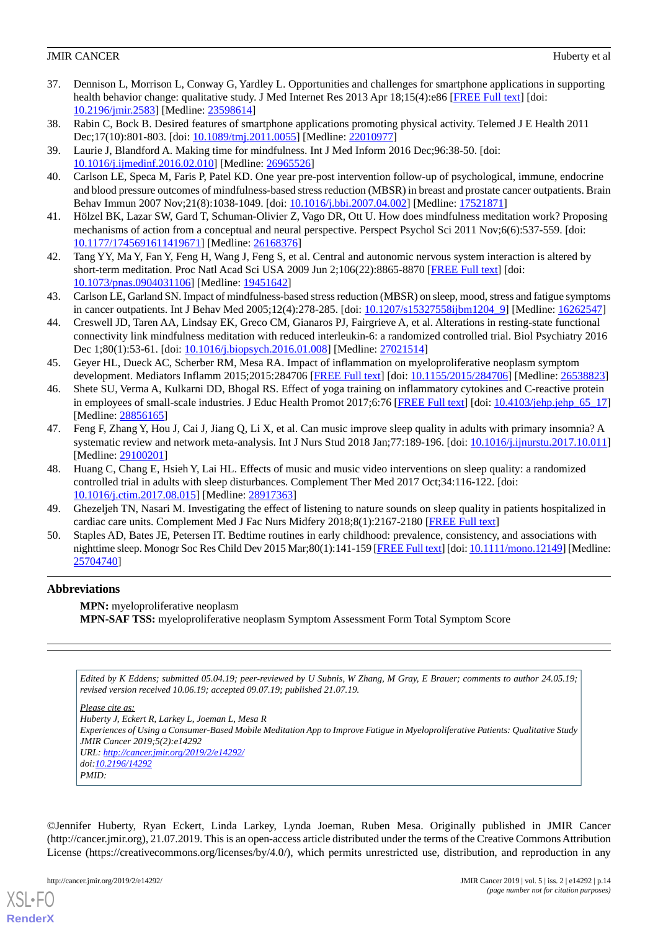- <span id="page-13-0"></span>37. Dennison L, Morrison L, Conway G, Yardley L. Opportunities and challenges for smartphone applications in supporting health behavior change: qualitative study. J Med Internet Res 2013 Apr 18;15(4):e86 [\[FREE Full text\]](http://www.jmir.org/2013/4/e86/) [doi: [10.2196/jmir.2583](http://dx.doi.org/10.2196/jmir.2583)] [Medline: [23598614](http://www.ncbi.nlm.nih.gov/entrez/query.fcgi?cmd=Retrieve&db=PubMed&list_uids=23598614&dopt=Abstract)]
- <span id="page-13-2"></span><span id="page-13-1"></span>38. Rabin C, Bock B. Desired features of smartphone applications promoting physical activity. Telemed J E Health 2011 Dec;17(10):801-803. [doi: [10.1089/tmj.2011.0055](http://dx.doi.org/10.1089/tmj.2011.0055)] [Medline: [22010977\]](http://www.ncbi.nlm.nih.gov/entrez/query.fcgi?cmd=Retrieve&db=PubMed&list_uids=22010977&dopt=Abstract)
- <span id="page-13-3"></span>39. Laurie J, Blandford A. Making time for mindfulness. Int J Med Inform 2016 Dec;96:38-50. [doi: [10.1016/j.ijmedinf.2016.02.010\]](http://dx.doi.org/10.1016/j.ijmedinf.2016.02.010) [Medline: [26965526](http://www.ncbi.nlm.nih.gov/entrez/query.fcgi?cmd=Retrieve&db=PubMed&list_uids=26965526&dopt=Abstract)]
- 40. Carlson LE, Speca M, Faris P, Patel KD. One year pre-post intervention follow-up of psychological, immune, endocrine and blood pressure outcomes of mindfulness-based stress reduction (MBSR) in breast and prostate cancer outpatients. Brain Behav Immun 2007 Nov;21(8):1038-1049. [doi: [10.1016/j.bbi.2007.04.002](http://dx.doi.org/10.1016/j.bbi.2007.04.002)] [Medline: [17521871\]](http://www.ncbi.nlm.nih.gov/entrez/query.fcgi?cmd=Retrieve&db=PubMed&list_uids=17521871&dopt=Abstract)
- <span id="page-13-4"></span>41. Hölzel BK, Lazar SW, Gard T, Schuman-Olivier Z, Vago DR, Ott U. How does mindfulness meditation work? Proposing mechanisms of action from a conceptual and neural perspective. Perspect Psychol Sci 2011 Nov;6(6):537-559. [doi: [10.1177/1745691611419671\]](http://dx.doi.org/10.1177/1745691611419671) [Medline: [26168376\]](http://www.ncbi.nlm.nih.gov/entrez/query.fcgi?cmd=Retrieve&db=PubMed&list_uids=26168376&dopt=Abstract)
- <span id="page-13-5"></span>42. Tang YY, Ma Y, Fan Y, Feng H, Wang J, Feng S, et al. Central and autonomic nervous system interaction is altered by short-term meditation. Proc Natl Acad Sci USA 2009 Jun 2;106(22):8865-8870 [\[FREE Full text](http://www.pnas.org/cgi/pmidlookup?view=long&pmid=19451642)] [doi: [10.1073/pnas.0904031106\]](http://dx.doi.org/10.1073/pnas.0904031106) [Medline: [19451642](http://www.ncbi.nlm.nih.gov/entrez/query.fcgi?cmd=Retrieve&db=PubMed&list_uids=19451642&dopt=Abstract)]
- <span id="page-13-6"></span>43. Carlson LE, Garland SN. Impact of mindfulness-based stress reduction (MBSR) on sleep, mood, stress and fatigue symptoms in cancer outpatients. Int J Behav Med 2005;12(4):278-285. [doi: [10.1207/s15327558ijbm1204\\_9](http://dx.doi.org/10.1207/s15327558ijbm1204_9)] [Medline: [16262547](http://www.ncbi.nlm.nih.gov/entrez/query.fcgi?cmd=Retrieve&db=PubMed&list_uids=16262547&dopt=Abstract)]
- 44. Creswell JD, Taren AA, Lindsay EK, Greco CM, Gianaros PJ, Fairgrieve A, et al. Alterations in resting-state functional connectivity link mindfulness meditation with reduced interleukin-6: a randomized controlled trial. Biol Psychiatry 2016 Dec 1;80(1):53-61. [doi: [10.1016/j.biopsych.2016.01.008](http://dx.doi.org/10.1016/j.biopsych.2016.01.008)] [Medline: [27021514](http://www.ncbi.nlm.nih.gov/entrez/query.fcgi?cmd=Retrieve&db=PubMed&list_uids=27021514&dopt=Abstract)]
- <span id="page-13-7"></span>45. Geyer HL, Dueck AC, Scherber RM, Mesa RA. Impact of inflammation on myeloproliferative neoplasm symptom development. Mediators Inflamm 2015;2015:284706 [\[FREE Full text\]](https://dx.doi.org/10.1155/2015/284706) [doi: [10.1155/2015/284706\]](http://dx.doi.org/10.1155/2015/284706) [Medline: [26538823\]](http://www.ncbi.nlm.nih.gov/entrez/query.fcgi?cmd=Retrieve&db=PubMed&list_uids=26538823&dopt=Abstract)
- <span id="page-13-8"></span>46. Shete SU, Verma A, Kulkarni DD, Bhogal RS. Effect of yoga training on inflammatory cytokines and C-reactive protein in employees of small-scale industries. J Educ Health Promot  $2017;6:76$  [\[FREE Full text](http://www.jehp.net/article.asp?issn=2277-9531;year=2017;volume=6;issue=1;spage=76;epage=76;aulast=Shete)] [doi:  $10.4103$ /jehp.jehp 65 17] [Medline: [28856165](http://www.ncbi.nlm.nih.gov/entrez/query.fcgi?cmd=Retrieve&db=PubMed&list_uids=28856165&dopt=Abstract)]
- 47. Feng F, Zhang Y, Hou J, Cai J, Jiang Q, Li X, et al. Can music improve sleep quality in adults with primary insomnia? A systematic review and network meta-analysis. Int J Nurs Stud 2018 Jan; 77:189-196. [doi: [10.1016/j.ijnurstu.2017.10.011](http://dx.doi.org/10.1016/j.ijnurstu.2017.10.011)] [Medline: [29100201](http://www.ncbi.nlm.nih.gov/entrez/query.fcgi?cmd=Retrieve&db=PubMed&list_uids=29100201&dopt=Abstract)]
- <span id="page-13-10"></span><span id="page-13-9"></span>48. Huang C, Chang E, Hsieh Y, Lai HL. Effects of music and music video interventions on sleep quality: a randomized controlled trial in adults with sleep disturbances. Complement Ther Med 2017 Oct;34:116-122. [doi: [10.1016/j.ctim.2017.08.015](http://dx.doi.org/10.1016/j.ctim.2017.08.015)] [Medline: [28917363](http://www.ncbi.nlm.nih.gov/entrez/query.fcgi?cmd=Retrieve&db=PubMed&list_uids=28917363&dopt=Abstract)]
- 49. Ghezeljeh TN, Nasari M. Investigating the effect of listening to nature sounds on sleep quality in patients hospitalized in cardiac care units. Complement Med J Fac Nurs Midfery 2018;8(1):2167-2180 [\[FREE Full text\]](http://cmja.arakmu.ac.ir/browse.php?a_id=550&sid=1&slc_lang=en)
- 50. Staples AD, Bates JE, Petersen IT. Bedtime routines in early childhood: prevalence, consistency, and associations with nighttime sleep. Monogr Soc Res Child Dev 2015 Mar;80(1):141-159 [\[FREE Full text\]](http://europepmc.org/abstract/MED/25704740) [doi: [10.1111/mono.12149\]](http://dx.doi.org/10.1111/mono.12149) [Medline: [25704740](http://www.ncbi.nlm.nih.gov/entrez/query.fcgi?cmd=Retrieve&db=PubMed&list_uids=25704740&dopt=Abstract)]

# **Abbreviations**

**MPN:** myeloproliferative neoplasm **MPN-SAF TSS:** myeloproliferative neoplasm Symptom Assessment Form Total Symptom Score

*Edited by K Eddens; submitted 05.04.19; peer-reviewed by U Subnis, W Zhang, M Gray, E Brauer; comments to author 24.05.19; revised version received 10.06.19; accepted 09.07.19; published 21.07.19.*

*Please cite as:*

*Huberty J, Eckert R, Larkey L, Joeman L, Mesa R Experiences of Using a Consumer-Based Mobile Meditation App to Improve Fatigue in Myeloproliferative Patients: Qualitative Study JMIR Cancer 2019;5(2):e14292 URL: <http://cancer.jmir.org/2019/2/e14292/>*

*doi[:10.2196/14292](http://dx.doi.org/10.2196/14292)*

*PMID:*

©Jennifer Huberty, Ryan Eckert, Linda Larkey, Lynda Joeman, Ruben Mesa. Originally published in JMIR Cancer (http://cancer.jmir.org), 21.07.2019. This is an open-access article distributed under the terms of the Creative Commons Attribution License (https://creativecommons.org/licenses/by/4.0/), which permits unrestricted use, distribution, and reproduction in any